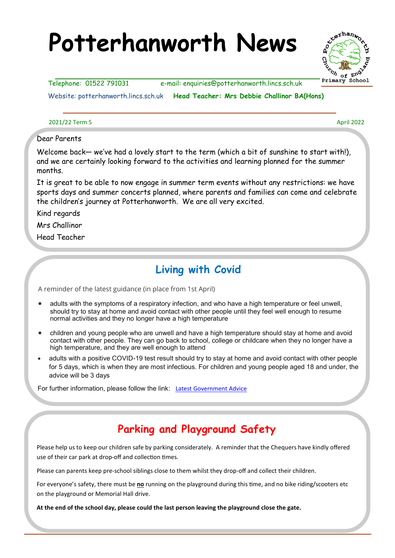# **Potterhanworth News**



Telephone: 01522 791031 e-mail: enquiries@potterhanworth.lincs.sch.uk

Website: potterhanworth.lincs.sch.uk **Head Teacher: Mrs Debbie Challinor BA(Hons)**

#### 2021/22 Term 5 April 2022 **April 2022** April 2022

#### Dear Parents

Welcome back— we've had a lovely start to the term (which a bit of sunshine to start with!), and we are certainly looking forward to the activities and learning planned for the summer months.

It is great to be able to now engage in summer term events without any restrictions: we have sports days and summer concerts planned, where parents and families can come and celebrate the children's journey at Potterhanworth. We are all very excited.

Kind regards

Mrs Challinor

Head Teacher

# **Living with Covid**

A reminder of the latest guidance (in place from 1st April)

- adults with the symptoms of a respiratory infection, and who have a high temperature or feel unwell, should try to stay at home and avoid contact with other people until they feel well enough to resume normal activities and they no longer have a high temperature
- children and young people who are unwell and have a high temperature should stay at home and avoid contact with other people. They can go back to school, college or childcare when they no longer have a high temperature, and they are well enough to attend
- adults with a positive COVID-19 test result should try to stay at home and avoid contact with other people for 5 days, which is when they are most infectious. For children and young people aged 18 and under, the advice will be 3 days

For further information, please follow the link: [Latest Government Advice](Latest%20Government%20Advice)

# **Parking and Playground Safety**

Please help us to keep our children safe by parking considerately. A reminder that the Chequers have kindly offered use of their car park at drop-off and collection times.

Please can parents keep pre-school siblings close to them whilst they drop-off and collect their children.

For everyone's safety, there must be **no** running on the playground during this time, and no bike riding/scooters etc on the playground or Memorial Hall drive.

**At the end of the school day, please could the last person leaving the playground close the gate.**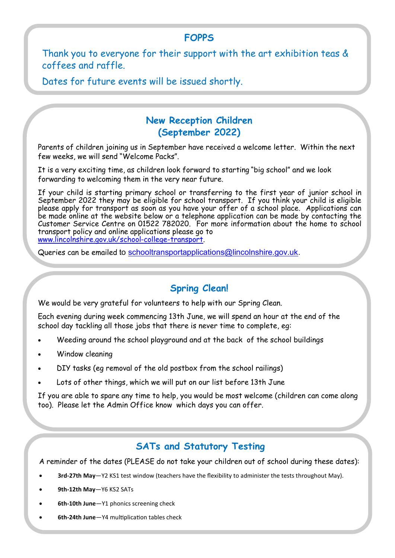# **FOPPS**

Thank you to everyone for their support with the art exhibition teas & coffees and raffle.

Dates for future events will be issued shortly.

## **New Reception Children (September 2022)**

Parents of children joining us in September have received a welcome letter. Within the next few weeks, we will send "Welcome Packs".

It is a very exciting time, as children look forward to starting "big school" and we look forwarding to welcoming them in the very near future.

If your child is starting primary school or transferring to the first year of junior school in September 2022 they may be eligible for school transport. If you think your child is eligible please apply for transport as soon as you have your offer of a school place. Applications can be made online at the website below or a telephone application can be made by contacting the Customer Service Centre on 01522 782020. For more information about the home to school transport policy and online applications please go to [www.lincolnshire.gov.uk/school](http://www.lincolnshire.gov.uk/school-college-transport)-college-transport.

Queries can be emailed to schooltransportapplications@lincolnshire.gov.uk.

#### **Spring Clean!**

We would be very grateful for volunteers to help with our Spring Clean.

Each evening during week commencing 13th June, we will spend an hour at the end of the school day tackling all those jobs that there is never time to complete, eg:

- Weeding around the school playground and at the back of the school buildings
- Window cleaning
- DIY tasks (eg removal of the old postbox from the school railings)
- Lots of other things, which we will put on our list before 13th June

If you are able to spare any time to help, you would be most welcome (children can come along too). Please let the Admin Office know which days you can offer.

#### **SATs and Statutory Testing**

A reminder of the dates (PLEASE do not take your children out of school during these dates):

- **3rd-27th May**—Y2 KS1 test window (teachers have the flexibility to administer the tests throughout May).
- **9th-12th May**—Y6 KS2 SATs
- **6th-10th June**—Y1 phonics screening check
- **6th-24th June**—Y4 multiplication tables check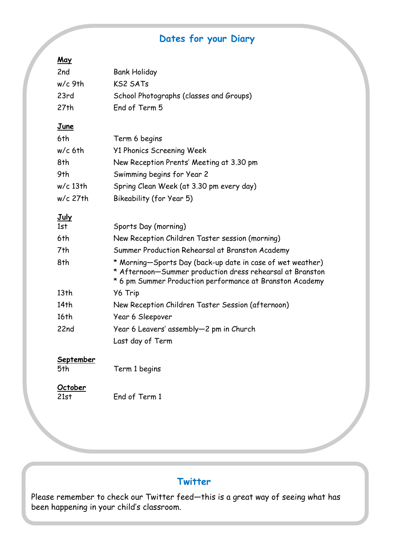# **Dates for your Diary**

| May                     |                                                                                                                                                                                     |
|-------------------------|-------------------------------------------------------------------------------------------------------------------------------------------------------------------------------------|
| 2nd                     | <b>Bank Holiday</b>                                                                                                                                                                 |
| $w/c$ 9th               | <b>KS2 SATs</b>                                                                                                                                                                     |
| 23rd                    | School Photographs (classes and Groups)                                                                                                                                             |
| 27th                    | End of Term 5                                                                                                                                                                       |
| <u>June</u>             |                                                                                                                                                                                     |
| 6th                     | Term 6 begins                                                                                                                                                                       |
| $w/c$ 6th               | <b>Y1 Phonics Screening Week</b>                                                                                                                                                    |
| 8th                     | New Reception Prents' Meeting at 3.30 pm                                                                                                                                            |
| 9th                     | Swimming begins for Year 2                                                                                                                                                          |
| $w/c$ 13th              | Spring Clean Week (at 3.30 pm every day)                                                                                                                                            |
| $w/c$ 27th              | Bikeability (for Year 5)                                                                                                                                                            |
| <u>July</u>             |                                                                                                                                                                                     |
| 1st                     | Sports Day (morning)                                                                                                                                                                |
| 6th                     | New Reception Children Taster session (morning)                                                                                                                                     |
| 7th                     | Summer Production Rehearsal at Branston Academy                                                                                                                                     |
| 8th                     | * Morning-Sports Day (back-up date in case of wet weather)<br>* Afternoon-Summer production dress rehearsal at Branston<br>* 6 pm Summer Production performance at Branston Academy |
| 13 <sub>th</sub>        | Y6 Trip                                                                                                                                                                             |
| 14 <sub>th</sub>        | New Reception Children Taster Session (afternoon)                                                                                                                                   |
| 16 <sub>th</sub>        | Year 6 Sleepover                                                                                                                                                                    |
| 22nd                    | Year 6 Leavers' assembly-2 pm in Church                                                                                                                                             |
|                         | Last day of Term                                                                                                                                                                    |
| <b>September</b><br>5th | Term 1 begins                                                                                                                                                                       |
| October<br>21st         | End of Term 1                                                                                                                                                                       |

## **Twitter**

Please remember to check our Twitter feed—this is a great way of seeing what has been happening in your child's classroom.